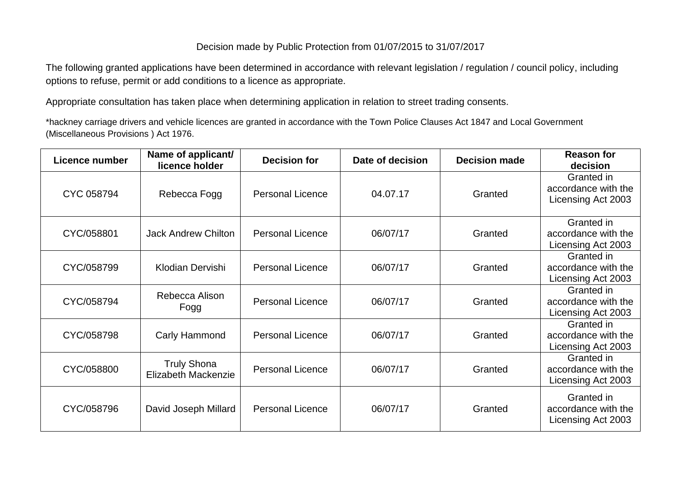## Decision made by Public Protection from 01/07/2015 to 31/07/2017

The following granted applications have been determined in accordance with relevant legislation / regulation / council policy, including options to refuse, permit or add conditions to a licence as appropriate.

Appropriate consultation has taken place when determining application in relation to street trading consents.

\*hackney carriage drivers and vehicle licences are granted in accordance with the Town Police Clauses Act 1847 and Local Government (Miscellaneous Provisions ) Act 1976.

| <b>Licence number</b> | Name of applicant/<br>licence holder      | <b>Decision for</b>     | Date of decision | <b>Decision made</b> | <b>Reason for</b><br>decision                           |
|-----------------------|-------------------------------------------|-------------------------|------------------|----------------------|---------------------------------------------------------|
| CYC 058794            | Rebecca Fogg                              | <b>Personal Licence</b> | 04.07.17         | Granted              | Granted in<br>accordance with the<br>Licensing Act 2003 |
| CYC/058801            | <b>Jack Andrew Chilton</b>                | <b>Personal Licence</b> | 06/07/17         | Granted              | Granted in<br>accordance with the<br>Licensing Act 2003 |
| CYC/058799            | Klodian Dervishi                          | <b>Personal Licence</b> | 06/07/17         | Granted              | Granted in<br>accordance with the<br>Licensing Act 2003 |
| CYC/058794            | Rebecca Alison<br>Fogg                    | <b>Personal Licence</b> | 06/07/17         | Granted              | Granted in<br>accordance with the<br>Licensing Act 2003 |
| CYC/058798            | Carly Hammond                             | <b>Personal Licence</b> | 06/07/17         | Granted              | Granted in<br>accordance with the<br>Licensing Act 2003 |
| CYC/058800            | <b>Truly Shona</b><br>Elizabeth Mackenzie | <b>Personal Licence</b> | 06/07/17         | Granted              | Granted in<br>accordance with the<br>Licensing Act 2003 |
| CYC/058796            | David Joseph Millard                      | <b>Personal Licence</b> | 06/07/17         | Granted              | Granted in<br>accordance with the<br>Licensing Act 2003 |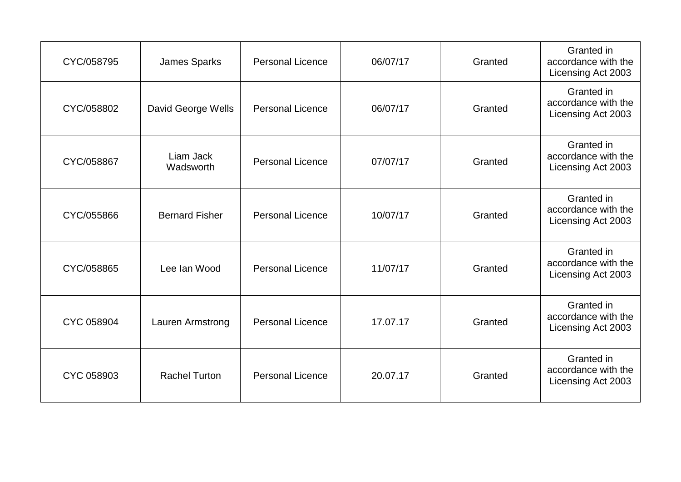| CYC/058795 | James Sparks           | <b>Personal Licence</b> | 06/07/17 | Granted | Granted in<br>accordance with the<br>Licensing Act 2003 |
|------------|------------------------|-------------------------|----------|---------|---------------------------------------------------------|
| CYC/058802 | David George Wells     | <b>Personal Licence</b> | 06/07/17 | Granted | Granted in<br>accordance with the<br>Licensing Act 2003 |
| CYC/058867 | Liam Jack<br>Wadsworth | <b>Personal Licence</b> | 07/07/17 | Granted | Granted in<br>accordance with the<br>Licensing Act 2003 |
| CYC/055866 | <b>Bernard Fisher</b>  | <b>Personal Licence</b> | 10/07/17 | Granted | Granted in<br>accordance with the<br>Licensing Act 2003 |
| CYC/058865 | Lee Ian Wood           | <b>Personal Licence</b> | 11/07/17 | Granted | Granted in<br>accordance with the<br>Licensing Act 2003 |
| CYC 058904 | Lauren Armstrong       | <b>Personal Licence</b> | 17.07.17 | Granted | Granted in<br>accordance with the<br>Licensing Act 2003 |
| CYC 058903 | <b>Rachel Turton</b>   | <b>Personal Licence</b> | 20.07.17 | Granted | Granted in<br>accordance with the<br>Licensing Act 2003 |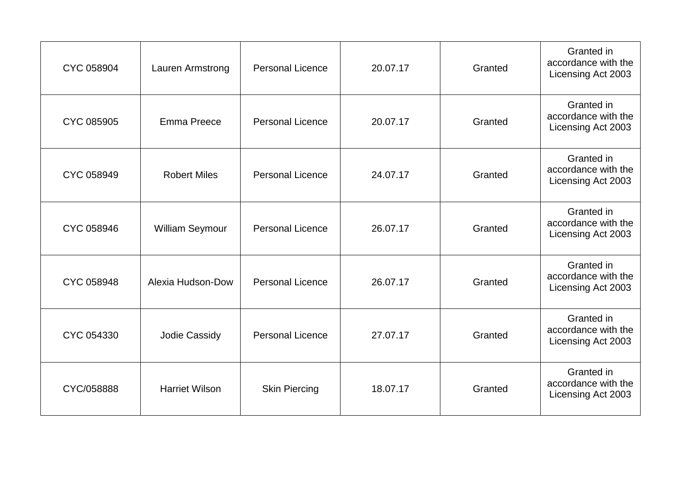| CYC 058904 | Lauren Armstrong       | <b>Personal Licence</b> | 20.07.17 | Granted | Granted in<br>accordance with the<br>Licensing Act 2003 |
|------------|------------------------|-------------------------|----------|---------|---------------------------------------------------------|
| CYC 085905 | Emma Preece            | <b>Personal Licence</b> | 20.07.17 | Granted | Granted in<br>accordance with the<br>Licensing Act 2003 |
| CYC 058949 | <b>Robert Miles</b>    | <b>Personal Licence</b> | 24.07.17 | Granted | Granted in<br>accordance with the<br>Licensing Act 2003 |
| CYC 058946 | <b>William Seymour</b> | <b>Personal Licence</b> | 26.07.17 | Granted | Granted in<br>accordance with the<br>Licensing Act 2003 |
| CYC 058948 | Alexia Hudson-Dow      | <b>Personal Licence</b> | 26.07.17 | Granted | Granted in<br>accordance with the<br>Licensing Act 2003 |
| CYC 054330 | Jodie Cassidy          | <b>Personal Licence</b> | 27.07.17 | Granted | Granted in<br>accordance with the<br>Licensing Act 2003 |
| CYC/058888 | <b>Harriet Wilson</b>  | <b>Skin Piercing</b>    | 18.07.17 | Granted | Granted in<br>accordance with the<br>Licensing Act 2003 |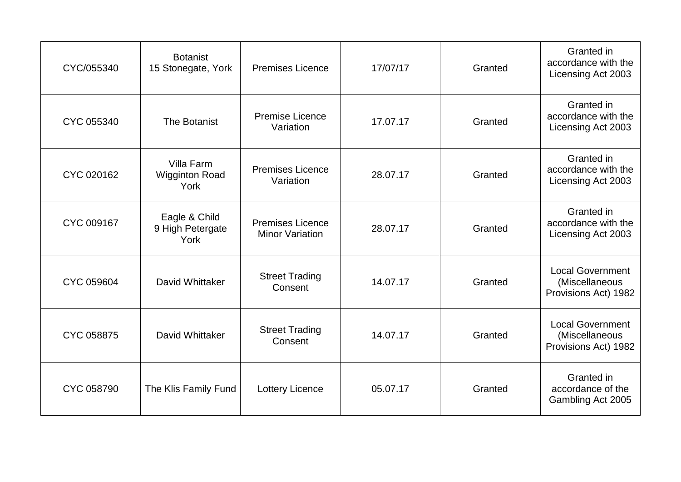| CYC/055340 | <b>Botanist</b><br>15 Stonegate, York       | <b>Premises Licence</b>                           | 17/07/17 | Granted | Granted in<br>accordance with the<br>Licensing Act 2003           |
|------------|---------------------------------------------|---------------------------------------------------|----------|---------|-------------------------------------------------------------------|
| CYC 055340 | The Botanist                                | <b>Premise Licence</b><br>Variation               | 17.07.17 | Granted | Granted in<br>accordance with the<br>Licensing Act 2003           |
| CYC 020162 | Villa Farm<br><b>Wigginton Road</b><br>York | <b>Premises Licence</b><br>Variation              | 28.07.17 | Granted | Granted in<br>accordance with the<br>Licensing Act 2003           |
| CYC 009167 | Eagle & Child<br>9 High Petergate<br>York   | <b>Premises Licence</b><br><b>Minor Variation</b> | 28.07.17 | Granted | Granted in<br>accordance with the<br>Licensing Act 2003           |
| CYC 059604 | David Whittaker                             | <b>Street Trading</b><br>Consent                  | 14.07.17 | Granted | <b>Local Government</b><br>(Miscellaneous<br>Provisions Act) 1982 |
| CYC 058875 | David Whittaker                             | <b>Street Trading</b><br>Consent                  | 14.07.17 | Granted | <b>Local Government</b><br>(Miscellaneous<br>Provisions Act) 1982 |
| CYC 058790 | The Klis Family Fund                        | <b>Lottery Licence</b>                            | 05.07.17 | Granted | Granted in<br>accordance of the<br>Gambling Act 2005              |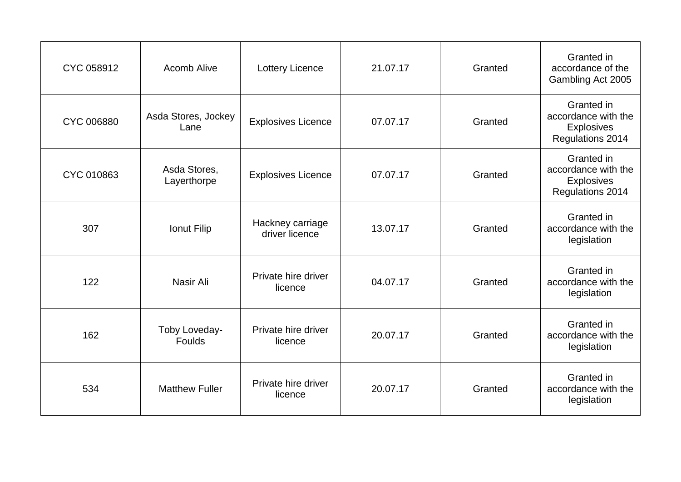| CYC 058912 | <b>Acomb Alive</b>          | <b>Lottery Licence</b>             | 21.07.17 | Granted | Granted in<br>accordance of the<br>Gambling Act 2005                              |
|------------|-----------------------------|------------------------------------|----------|---------|-----------------------------------------------------------------------------------|
| CYC 006880 | Asda Stores, Jockey<br>Lane | <b>Explosives Licence</b>          | 07.07.17 | Granted | Granted in<br>accordance with the<br><b>Explosives</b><br><b>Regulations 2014</b> |
| CYC 010863 | Asda Stores,<br>Layerthorpe | <b>Explosives Licence</b>          | 07.07.17 | Granted | Granted in<br>accordance with the<br><b>Explosives</b><br><b>Regulations 2014</b> |
| 307        | Ionut Filip                 | Hackney carriage<br>driver licence | 13.07.17 | Granted | Granted in<br>accordance with the<br>legislation                                  |
| 122        | Nasir Ali                   | Private hire driver<br>licence     | 04.07.17 | Granted | Granted in<br>accordance with the<br>legislation                                  |
| 162        | Toby Loveday-<br>Foulds     | Private hire driver<br>licence     | 20.07.17 | Granted | Granted in<br>accordance with the<br>legislation                                  |
| 534        | <b>Matthew Fuller</b>       | Private hire driver<br>licence     | 20.07.17 | Granted | Granted in<br>accordance with the<br>legislation                                  |